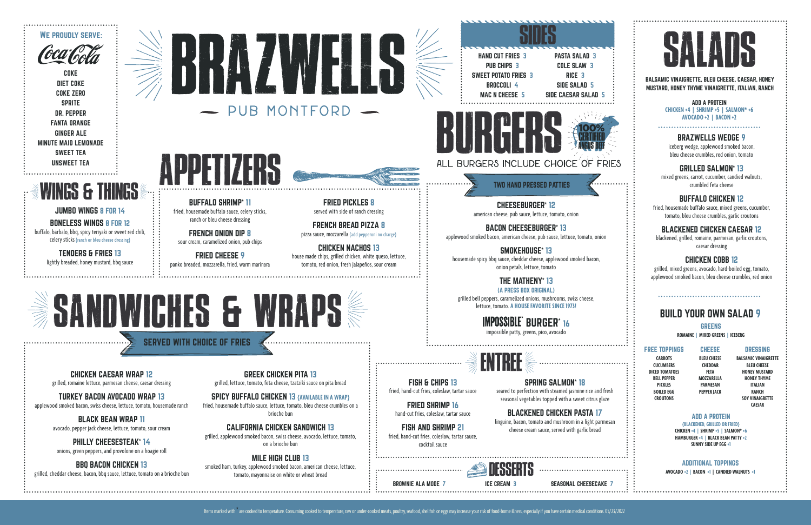CHICKEN CAESAR WRAP 12 grilled, romaine lettuce, parmesan cheese, caesar dressing

TURKEY BACON AVOCADO WRAP 13 applewood smoked bacon, swiss cheese, lettuce, tomato, housemade ranch

> BLACK BEAN WRAP 11 avocado, pepper jack cheese, lettuce, tomato, sour cream

PHILLY CHEESESTEAK**\*** 14 onions, green peppers, and provolone on a hoagie roll

BBQ BACON CHICKEN 13 grilled, cheddar cheese, bacon, bbq sauce, lettuce, tomato on a brioche bun

GREEK CHICKEN PITA 13 grilled, lettuce, tomato, feta cheese, tzatziki sauce on pita bread

SPICY BUFFALO CHICKEN 13 **{AVAILABLE IN A WRAP}** fried, housemade buffalo sauce, lettuce, tomato, bleu cheese crumbles on a brioche bun

**IMPOSSIBLE** BURGER\* 16 impossible patty, greens, pico, avocado

CALIFORNIA CHICKEN SANDWICH 13 grilled, applewood smoked bacon, swiss cheese, avocado, lettuce, tomato, on a brioche bun

MILE HIGH CLUB 13 smoked ham, turkey, applewood smoked bacon, american cheese, lettuce, tomato, mayonnaise on white or wheat bread

CHEESEBURGER**\*** 12 american cheese, pub sauce, lettuce, tomato, onion

BACON CHEESEBURGER**\*** 13

applewood smoked bacon, american cheese, pub sauce, lettuce, tomato, onion

SMOKEHOUSE**\*** 13

housemade spicy bbq sauce, cheddar cheese, applewood smoked bacon,

HAND CUT FRIES 3 PUB CHIPS 3 SWEET POTATO FRIES 3 BROCCOLI 4 MAC N CHEESE 5

onion petals, lettuce, tomato

THE MATHENY**\*** 13 (A PRESS BOX ORIGINAL) grilled bell peppers, caramelized onions, mushrooms, swiss cheese, lettuce, tomato. **A HOUSE FAVORITE SINCE 1973!**

# BRAZWELLS WEDGE 9

iceberg wedge, applewood smoked bacon, bleu cheese crumbles, red onion, tomato

# GRILLED SALMON**\*** 13

mixed greens, carrot, cucumber, candied walnuts, crumbled feta cheese

# BUFFALO CHICKEN 12

#### **CHEESE BLEU CHEESE**

fried, housemade buffalo sauce, mixed greens, cucumber, tomato, bleu cheese crumbles, garlic croutons

# BLACKENED CHICKEN CAESAR 12

blackened, grilled, romaine, parmesan, garlic croutons, caesar dressing

# CHICKEN COBB 12

grilled, mixed greens, avocado, hard-boiled egg, tomato, applewood smoked bacon, bleu cheese crumbles, red onion

JUMBO WINGS 8 FOR 14 BONELESS WINGS 8 FOR 12 buffalo, barbalo, bbq, spicy teriyaki or sweet red chili, celery sticks (ranch or bleu cheese dressing)

> TENDERS & FRIES 13 lightly breaded, honey mustard, bbq sauce

CERTIFIED ANGUS BEEF



MUSTARD, HONEY THYME VINAIGRETTE, ITALIAN, RANCH

PASTA SALAD 3 COLE SLAW 3 RICE 3 SIDE SALAD 5 SIDE CAESAR SALAD 5

COKE DIET COKE COKE ZERO SPRITE DR. PEPPER FANTA ORANGE GINGER ALE MINUTE MAID LEMONADE SWEET TEA UNSWEET TEA

BROWNIE ALA MODE 7 ICE CREAM 3 SEASONAL CHEESECAKE 7



TWO HAND PRESSED PATTIES

SERVED WITH CHOICE OF FRIES

100%

ADD A PROTEIN **CHICKEN +4 | SHRIMP +5 | SALMON\* +6 AVOCADO +2 | BACON +2**







BURGERS

# SALADS

# BUILD YOUR OWN SALAD 9

ENTREE



SIDES

GREENS **ROMAINE | MIXED GREENS | ICEBERG**

## FREE TOPPINGS

**CARROTS CUCUMBERS DICED TOMATOES BELL PEPPER PICKLES BOILED EGG CROUTONS**

**CHEDDAR FETA MOZZARELLA PARMESAN PEPPER JACK** DRESSING

**BALSAMIC VINAIGRETTE BLEU CHEESE HONEY MUSTARD HONEY THYME ITALIAN RANCH SOY VINAIGRETTE CAESAR**

## ADD A PROTEIN

**{BLACKENED, GRILLED OR FRIED} CHICKEN +4 | SHRIMP +5 | SALMON\* +6 HAMBURGER +4 | BLACK BEAN PATTY +2 SUNNY SIDE UP EGG +1**

## ADDITIONAL TOPPINGS

**AVOCADO +2 | BACON +1 | CANDIED WALNUTS +1**

BUFFALO SHRIMP**\*** 11 fried, housemade buffalo sauce, celery sticks, ranch or bleu cheese dressing

FRENCH ONION DIP 8 sour cream, caramelized onion, pub chips

FRIED CHEESE 9 panko breaded, mozzarella, fried, warm marinara

FRIED PICKLES 8 served with side of ranch dressing

FRENCH BREAD PIZZA 8 pizza sauce, mozzarella {add pepperoni no charge}

CHICKEN NACHOS 13 house made chips, grilled chicken, white queso, lettuce, tomato, red onion, fresh jalapeños, sour cream

# WINGS & THINGS

FISH & CHIPS 13 fried, hand-cut fries, coleslaw, tartar sauce

FRIED SHRIMP 16 hand-cut fries, coleslaw, tartar sauce

FISH AND SHRIMP 21 fried, hand-cut fries, coleslaw, tartar sauce, cocktail sauce

SPRING SALMON**\*** 18

seared to perfection with steamed jasmine rice and fresh seasonal vegetables topped with a sweet citrus glaze

BLACKENED CHICKEN PASTA 17

linguine, bacon, tomato and mushroom in a light parmesan cheese cream sauce, served with garlic bread